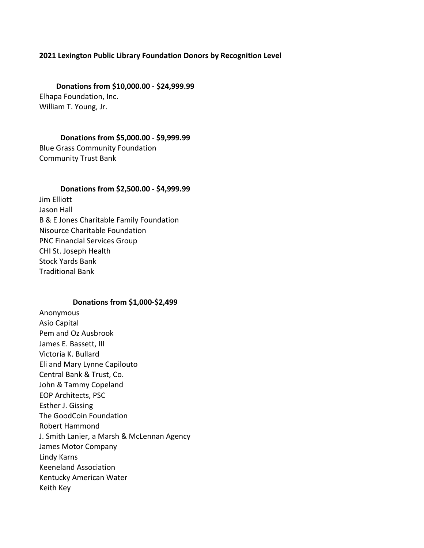# **2021 Lexington Public Library Foundation Donors by Recognition Level**

**Donations from \$10,000.00 - \$24,999.99** Elhapa Foundation, Inc. William T. Young, Jr.

### **Donations from \$5,000.00 - \$9,999.99**

Blue Grass Community Foundation Community Trust Bank

# **Donations from \$2,500.00 - \$4,999.99**

Jim Elliott Jason Hall B & E Jones Charitable Family Foundation Nisource Charitable Foundation PNC Financial Services Group CHI St. Joseph Health Stock Yards Bank **Traditional Bank** 

### **Donations from \$1,000-\$2,499**

Anonymous Asio Capital Pem and Oz Ausbrook James E. Bassett, III Victoria K. Bullard Eli and Mary Lynne Capilouto Central Bank & Trust, Co. John & Tammy Copeland EOP Architects, PSC Esther J. Gissing The GoodCoin Foundation Robert Hammond J. Smith Lanier, a Marsh & McLennan Agency James Motor Company Lindy Karns Keeneland Association Kentucky American Water Keith Key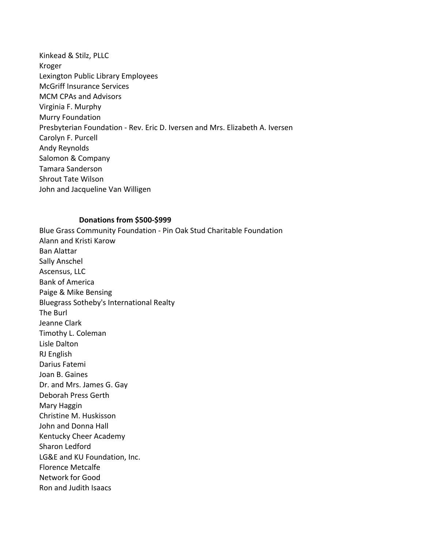Kinkead & Stilz, PLLC Kroger Lexington Public Library Employees McGriff Insurance Services MCM CPAs and Advisors Virginia F. Murphy Murry Foundation Presbyterian Foundation - Rev. Eric D. Iversen and Mrs. Elizabeth A. Iversen Carolyn F. Purcell Andy Reynolds Salomon & Company Tamara Sanderson Shrout Tate Wilson John and Jacqueline Van Willigen

### **Donations from \$500-\$999**

Blue Grass Community Foundation - Pin Oak Stud Charitable Foundation Alann and Kristi Karow Ban Alattar Sally Anschel Ascensus, LLC Bank of America Paige & Mike Bensing Bluegrass Sotheby's International Realty The Burl Jeanne Clark Timothy L. Coleman Lisle Dalton RJ English Darius Fatemi Joan B. Gaines Dr. and Mrs. James G. Gay Deborah Press Gerth Mary Haggin Christine M. Huskisson John and Donna Hall Kentucky Cheer Academy Sharon Ledford LG&E and KU Foundation, Inc. Florence Metcalfe Network for Good Ron and Judith Isaacs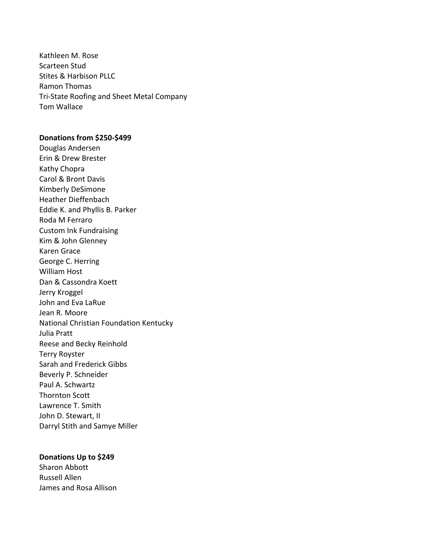Kathleen M. Rose Scarteen Stud Stites & Harbison PLLC Ramon Thomas Tri-State Roofing and Sheet Metal Company Tom Wallace

# **Donations from \$250-\$499**

Douglas Andersen Erin & Drew Brester Kathy Chopra Carol & Bront Davis Kimberly DeSimone Heather Dieffenbach Eddie K. and Phyllis B. Parker Roda M Ferraro Custom Ink Fundraising Kim & John Glenney Karen Grace George C. Herring William Host Dan & Cassondra Koett Jerry Kroggel John and Eva LaRue Jean R. Moore National Christian Foundation Kentucky Julia Pratt Reese and Becky Reinhold Terry Royster Sarah and Frederick Gibbs Beverly P. Schneider Paul A. Schwartz Thornton Scott Lawrence T. Smith John D. Stewart, II Darryl Stith and Samye Miller

#### **Donations Up to \$249**

Sharon Abbott Russell Allen James and Rosa Allison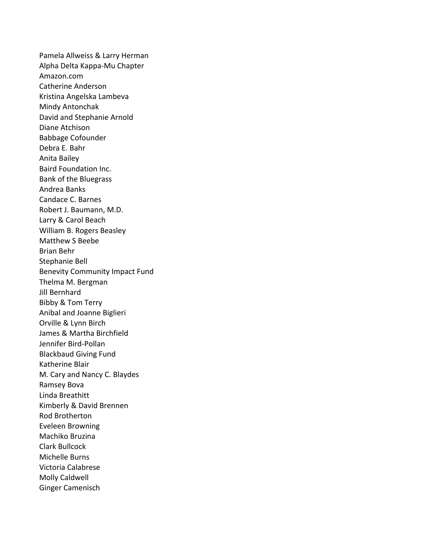Pamela Allweiss & Larry Herman Alpha Delta Kappa-Mu Chapter Amazon.com Catherine Anderson Kristina Angelska Lambeva Mindy Antonchak David and Stephanie Arnold Diane Atchison Babbage Cofounder Debra E. Bahr Anita Bailey Baird Foundation Inc. Bank of the Bluegrass Andrea Banks Candace C. Barnes Robert J. Baumann, M.D. Larry & Carol Beach William B. Rogers Beasley Matthew S Beebe Brian Behr Stephanie Bell Benevity Community Impact Fund Thelma M. Bergman Jill Bernhard Bibby & Tom Terry Anibal and Joanne Biglieri Orville & Lynn Birch James & Martha Birchfield Jennifer Bird-Pollan **Blackbaud Giving Fund** Katherine Blair M. Cary and Nancy C. Blaydes Ramsey Bova Linda Breathitt Kimberly & David Brennen Rod Brotherton Eveleen Browning Machiko Bruzina Clark Bullcock Michelle Burns Victoria Calabrese Molly Caldwell Ginger Camenisch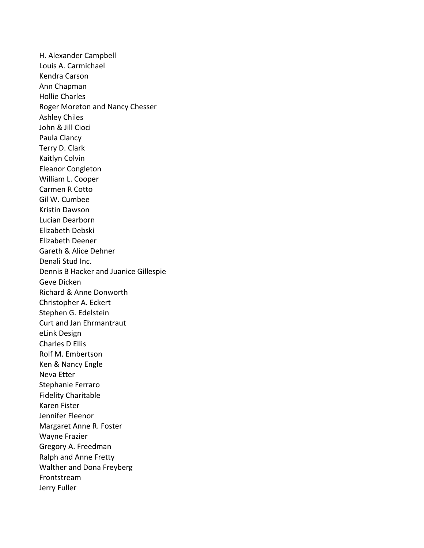H. Alexander Campbell Louis A. Carmichael Kendra Carson Ann Chapman Hollie Charles Roger Moreton and Nancy Chesser Ashley Chiles John & Jill Cioci Paula Clancy Terry D. Clark Kaitlyn Colvin Eleanor Congleton William L. Cooper Carmen R Cotto Gil W. Cumbee Kristin Dawson Lucian Dearborn Elizabeth Debski Elizabeth Deener Gareth & Alice Dehner Denali Stud Inc. Dennis B Hacker and Juanice Gillespie Geve Dicken Richard & Anne Donworth Christopher A. Eckert Stephen G. Edelstein Curt and Jan Ehrmantraut eLink Design Charles D Ellis Rolf M. Embertson Ken & Nancy Engle Neva Etter Stephanie Ferraro Fidelity Charitable Karen Fister Jennifer Fleenor Margaret Anne R. Foster Wayne Frazier Gregory A. Freedman Ralph and Anne Fretty Walther and Dona Freyberg Frontstream Jerry Fuller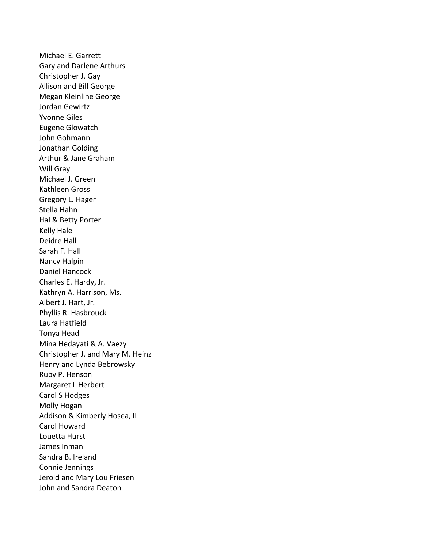Michael E. Garrett Gary and Darlene Arthurs Christopher J. Gay Allison and Bill George Megan Kleinline George Jordan Gewirtz Yvonne Giles Eugene Glowatch John Gohmann Jonathan Golding Arthur & Jane Graham Will Gray Michael J. Green Kathleen Gross Gregory L. Hager Stella Hahn Hal & Betty Porter Kelly Hale Deidre Hall Sarah F. Hall Nancy Halpin Daniel Hancock Charles E. Hardy, Jr. Kathryn A. Harrison, Ms. Albert J. Hart, Jr. Phyllis R. Hasbrouck Laura Hatfield Tonya Head Mina Hedayati & A. Vaezy Christopher J. and Mary M. Heinz Henry and Lynda Bebrowsky Ruby P. Henson Margaret L Herbert Carol S Hodges Molly Hogan Addison & Kimberly Hosea, II Carol Howard Louetta Hurst James Inman Sandra B. Ireland Connie Jennings Jerold and Mary Lou Friesen John and Sandra Deaton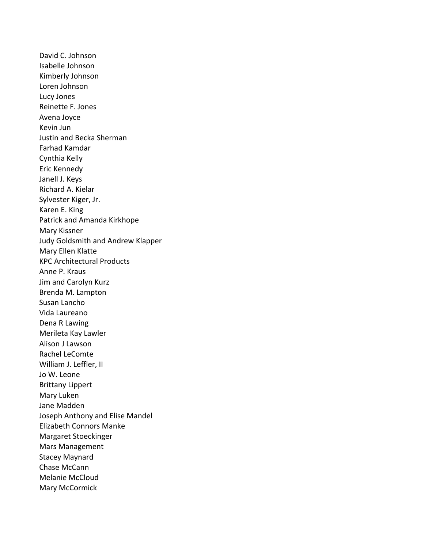David C. Johnson Isabelle Johnson Kimberly Johnson Loren Johnson Lucy Jones Reinette F. Jones Avena Joyce Kevin Jun Justin and Becka Sherman Farhad Kamdar Cynthia Kelly Eric Kennedy Janell J. Keys Richard A. Kielar Sylvester Kiger, Jr. Karen E. King Patrick and Amanda Kirkhope Mary Kissner Judy Goldsmith and Andrew Klapper Mary Ellen Klatte KPC Architectural Products Anne P. Kraus Jim and Carolyn Kurz Brenda M. Lampton Susan Lancho Vida Laureano Dena R Lawing Merileta Kay Lawler Alison J Lawson Rachel LeComte William J. Leffler, II Jo W. Leone Brittany Lippert Mary Luken Jane Madden Joseph Anthony and Elise Mandel Elizabeth Connors Manke Margaret Stoeckinger Mars Management Stacey Maynard Chase McCann Melanie McCloud Mary McCormick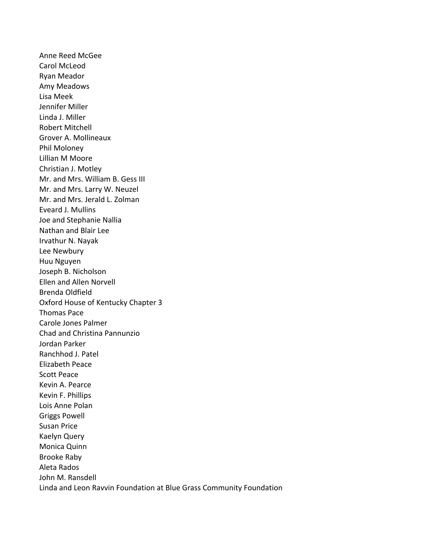Anne Reed McGee Carol McLeod Ryan Meador Amy Meadows Lisa Meek Jennifer Miller Linda J. Miller Robert Mitchell Grover A. Mollineaux Phil Moloney Lillian M Moore Christian J. Motley Mr. and Mrs. William B. Gess III Mr. and Mrs. Larry W. Neuzel Mr. and Mrs. Jerald L. Zolman Eveard J. Mullins Joe and Stephanie Nallia Nathan and Blair Lee Irvathur N. Nayak Lee Newbury Huu Nguyen Joseph B. Nicholson Ellen and Allen Norvell Brenda Oldfield Oxford House of Kentucky Chapter 3 Thomas Pace Carole Jones Palmer Chad and Christina Pannunzio Jordan Parker Ranchhod J. Patel Elizabeth Peace Scott Peace Kevin A. Pearce Kevin F. Phillips Lois Anne Polan Griggs Powell Susan Price Kaelyn Query Monica Quinn **Brooke Raby** Aleta Rados John M. Ransdell Linda and Leon Ravvin Foundation at Blue Grass Community Foundation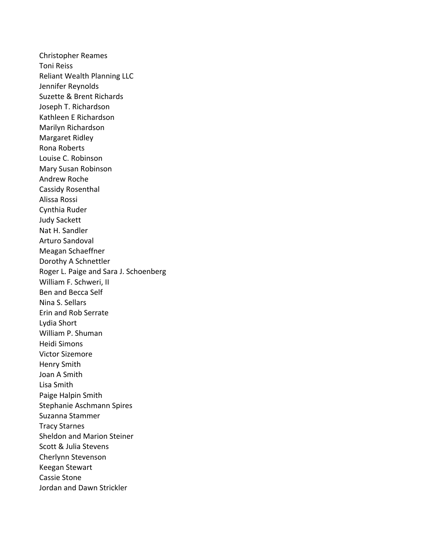Christopher Reames Toni Reiss Reliant Wealth Planning LLC Jennifer Reynolds Suzette & Brent Richards Joseph T. Richardson Kathleen E Richardson Marilyn Richardson Margaret Ridley Rona Roberts Louise C. Robinson Mary Susan Robinson Andrew Roche Cassidy Rosenthal Alissa Rossi Cynthia Ruder Judy Sackett Nat H. Sandler Arturo Sandoval Meagan Schaeffner Dorothy A Schnettler Roger L. Paige and Sara J. Schoenberg William F. Schweri, II Ben and Becca Self Nina S. Sellars Erin and Rob Serrate Lydia Short William P. Shuman Heidi Simons Victor Sizemore Henry Smith Joan A Smith Lisa Smith Paige Halpin Smith Stephanie Aschmann Spires Suzanna Stammer Tracy Starnes Sheldon and Marion Steiner Scott & Julia Stevens Cherlynn Stevenson Keegan Stewart Cassie Stone Jordan and Dawn Strickler